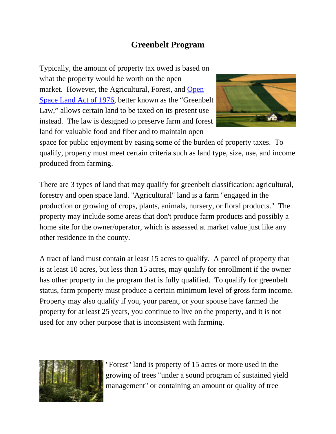## **Greenbelt Program**

Typically, the amount of property tax owed is based on what the property would be worth on the open market. However, the Agricultural, Forest, and Open Space Land Act of 1976, better known as the "Greenbelt Law," allows certain land to be taxed on its present use instead. The law is designed to preserve farm and forest land for valuable food and fiber and to maintain open



space for public enjoyment by easing some of the burden of property taxes. To qualify, property must meet certain criteria such as land type, size, use, and income produced from farming.

There are 3 types of land that may qualify for greenbelt classification: agricultural, forestry and open space land. "Agricultural" land is a farm "engaged in the production or growing of crops, plants, animals, nursery, or floral products." The property may include some areas that don't produce farm products and possibly a home site for the owner/operator, which is assessed at market value just like any other residence in the county.

A tract of land must contain at least 15 acres to qualify. A parcel of property that is at least 10 acres, but less than 15 acres, may qualify for enrollment if the owner has other property in the program that is fully qualified. To qualify for greenbelt status, farm property must produce a certain minimum level of gross farm income. Property may also qualify if you, your parent, or your spouse have farmed the property for at least 25 years, you continue to live on the property, and it is not used for any other purpose that is inconsistent with farming.



"Forest" land is property of 15 acres or more used in the growing of trees "under a sound program of sustained yield management" or containing an amount or quality of tree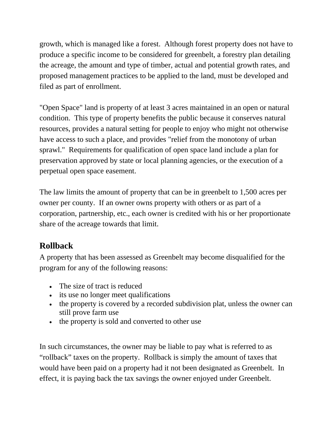growth, which is managed like a forest. Although forest property does not have to produce a specific income to be considered for greenbelt, a forestry plan detailing the acreage, the amount and type of timber, actual and potential growth rates, and proposed management practices to be applied to the land, must be developed and filed as part of enrollment.

"Open Space" land is property of at least 3 acres maintained in an open or natural condition. This type of property benefits the public because it conserves natural resources, provides a natural setting for people to enjoy who might not otherwise have access to such a place, and provides "relief from the monotony of urban sprawl." Requirements for qualification of open space land include a plan for preservation approved by state or local planning agencies, or the execution of a perpetual open space easement.

The law limits the amount of property that can be in greenbelt to 1,500 acres per owner per county. If an owner owns property with others or as part of a corporation, partnership, etc., each owner is credited with his or her proportionate share of the acreage towards that limit.

## **Rollback**

A property that has been assessed as Greenbelt may become disqualified for the program for any of the following reasons:

- The size of tract is reduced
- its use no longer meet qualifications
- the property is covered by a recorded subdivision plat, unless the owner can still prove farm use
- the property is sold and converted to other use

In such circumstances, the owner may be liable to pay what is referred to as "rollback" taxes on the property. Rollback is simply the amount of taxes that would have been paid on a property had it not been designated as Greenbelt. In effect, it is paying back the tax savings the owner enjoyed under Greenbelt.